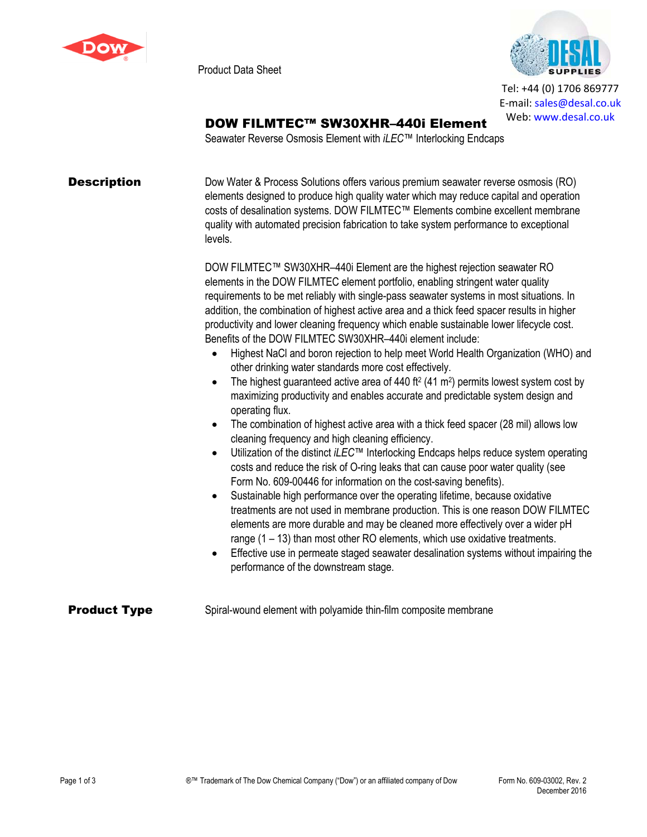

Product Data Sheet



Tel: +44 (0) 1706 869777 E‐mail: sales@desal.co.uk Web: www.desal.co.uk

# DOW FILMTEC™ SW30XHR–440i Element

Seawater Reverse Osmosis Element with *iLEC*™ Interlocking Endcaps

**Description** Dow Water & Process Solutions offers various premium seawater reverse osmosis (RO) elements designed to produce high quality water which may reduce capital and operation costs of desalination systems. DOW FILMTEC™ Elements combine excellent membrane quality with automated precision fabrication to take system performance to exceptional levels.

> DOW FILMTEC™ SW30XHR–440i Element are the highest rejection seawater RO elements in the DOW FILMTEC element portfolio, enabling stringent water quality requirements to be met reliably with single-pass seawater systems in most situations. In addition, the combination of highest active area and a thick feed spacer results in higher productivity and lower cleaning frequency which enable sustainable lower lifecycle cost. Benefits of the DOW FILMTEC SW30XHR–440i element include:

- Highest NaCl and boron rejection to help meet World Health Organization (WHO) and other drinking water standards more cost effectively.
- The highest guaranteed active area of  $440$  ft<sup>2</sup> (41 m<sup>2</sup>) permits lowest system cost by maximizing productivity and enables accurate and predictable system design and operating flux.
- The combination of highest active area with a thick feed spacer (28 mil) allows low cleaning frequency and high cleaning efficiency.
- Utilization of the distinct *iLEC*™ Interlocking Endcaps helps reduce system operating costs and reduce the risk of O-ring leaks that can cause poor water quality (see Form No. 609-00446 for information on the cost-saving benefits).
- Sustainable high performance over the operating lifetime, because oxidative treatments are not used in membrane production. This is one reason DOW FILMTEC elements are more durable and may be cleaned more effectively over a wider pH range (1 – 13) than most other RO elements, which use oxidative treatments.
- Effective use in permeate staged seawater desalination systems without impairing the performance of the downstream stage.

## **Product Type** Spiral-wound element with polyamide thin-film composite membrane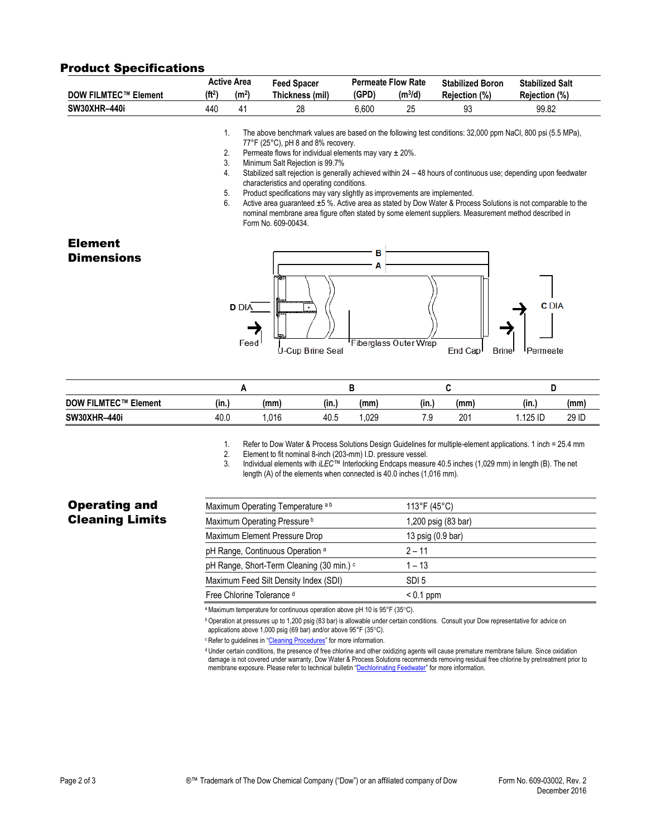#### Product Specifications

|                                                                                                                                                                           |                                                                                                                                                                                                 | <b>Active Area</b> | <b>Feed Spacer</b>                                                                                         |       | <b>Permeate Flow Rate</b> | <b>Stabilized Boron</b> | <b>Stabilized Salt</b> |  |  |  |  |
|---------------------------------------------------------------------------------------------------------------------------------------------------------------------------|-------------------------------------------------------------------------------------------------------------------------------------------------------------------------------------------------|--------------------|------------------------------------------------------------------------------------------------------------|-------|---------------------------|-------------------------|------------------------|--|--|--|--|
| <b>DOW FILMTEC™ Element</b>                                                                                                                                               | (f1 <sup>2</sup> )                                                                                                                                                                              | (m <sup>2</sup> )  | Thickness (mil)                                                                                            | (GPD) | $(m^3/d)$                 | Rejection (%)           | Rejection (%)          |  |  |  |  |
| <b>SW30XHR-440i</b>                                                                                                                                                       | 440                                                                                                                                                                                             | 41                 | 28                                                                                                         | 6,600 | 25                        | 93                      | 99.82                  |  |  |  |  |
|                                                                                                                                                                           | $\mathbf{1}$ .                                                                                                                                                                                  |                    | The above benchmark values are based on the following test conditions: 32,000 ppm NaCl, 800 psi (5.5 MPa), |       |                           |                         |                        |  |  |  |  |
|                                                                                                                                                                           | 77°F (25°C), pH 8 and 8% recovery.                                                                                                                                                              |                    |                                                                                                            |       |                           |                         |                        |  |  |  |  |
|                                                                                                                                                                           | 2.<br>Permeate flows for individual elements may vary $\pm 20\%$ .                                                                                                                              |                    |                                                                                                            |       |                           |                         |                        |  |  |  |  |
|                                                                                                                                                                           | 3.                                                                                                                                                                                              |                    | Minimum Salt Rejection is 99.7%                                                                            |       |                           |                         |                        |  |  |  |  |
| Stabilized salt rejection is generally achieved within 24 – 48 hours of continuous use; depending upon feedwater<br>4.<br>characteristics and operating conditions.<br>5. |                                                                                                                                                                                                 |                    |                                                                                                            |       |                           |                         |                        |  |  |  |  |
|                                                                                                                                                                           |                                                                                                                                                                                                 |                    |                                                                                                            |       |                           |                         |                        |  |  |  |  |
|                                                                                                                                                                           | Product specifications may vary slightly as improvements are implemented.<br>6.<br>Active area guaranteed ±5 %. Active area as stated by Dow Water & Process Solutions is not comparable to the |                    |                                                                                                            |       |                           |                         |                        |  |  |  |  |
|                                                                                                                                                                           |                                                                                                                                                                                                 |                    | nominal membrane area figure often stated by some element suppliers. Measurement method described in       |       |                           |                         |                        |  |  |  |  |
|                                                                                                                                                                           |                                                                                                                                                                                                 |                    | Form No. 609-00434.                                                                                        |       |                           |                         |                        |  |  |  |  |
|                                                                                                                                                                           |                                                                                                                                                                                                 |                    |                                                                                                            |       |                           |                         |                        |  |  |  |  |
| <b>Element</b>                                                                                                                                                            |                                                                                                                                                                                                 |                    |                                                                                                            |       |                           |                         |                        |  |  |  |  |
| <b>Dimensions</b>                                                                                                                                                         |                                                                                                                                                                                                 |                    |                                                                                                            | в     |                           |                         |                        |  |  |  |  |
|                                                                                                                                                                           |                                                                                                                                                                                                 |                    |                                                                                                            |       |                           |                         |                        |  |  |  |  |
|                                                                                                                                                                           |                                                                                                                                                                                                 |                    |                                                                                                            |       |                           |                         |                        |  |  |  |  |
|                                                                                                                                                                           |                                                                                                                                                                                                 |                    |                                                                                                            |       |                           |                         |                        |  |  |  |  |
|                                                                                                                                                                           |                                                                                                                                                                                                 |                    |                                                                                                            |       |                           |                         |                        |  |  |  |  |
|                                                                                                                                                                           |                                                                                                                                                                                                 | <b>D</b> DIA       |                                                                                                            |       |                           |                         | <b>C</b> DIA           |  |  |  |  |
|                                                                                                                                                                           |                                                                                                                                                                                                 |                    |                                                                                                            |       |                           |                         |                        |  |  |  |  |
|                                                                                                                                                                           |                                                                                                                                                                                                 |                    |                                                                                                            |       |                           |                         |                        |  |  |  |  |
|                                                                                                                                                                           |                                                                                                                                                                                                 | Feed               |                                                                                                            |       | Fiberglass Outer Wrap     |                         |                        |  |  |  |  |
|                                                                                                                                                                           |                                                                                                                                                                                                 |                    | U-Cup Brine Seal                                                                                           |       |                           | End Cap<br><b>Brine</b> | Permeate               |  |  |  |  |

| End Cap <sup>1</sup> | Brinel | <b>I</b> Permeate |
|----------------------|--------|-------------------|

| <b>DOW FILMTEC™ Element</b> | (in.) | (mm  | "<br>(in.) | (mm) | (in.)  | (mm             | (in.)   | (mm)  |
|-----------------------------|-------|------|------------|------|--------|-----------------|---------|-------|
| <b>SW30XHR-440i</b>         | 40.0  | .016 | 40.5       | .029 | 71<br> | 20 <sub>1</sub> | .125 ID | 29 ID |

1. Refer to Dow Water & Process Solutions Design Guidelines for multiple-element applications. 1 inch = 25.4 mm

2. Element to fit nominal 8-inch (203-mm) I.D. pressure vessel.

3. Individual elements with *iLEC*™ Interlocking Endcaps measure 40.5 inches (1,029 mm) in length (B). The net length (A) of the elements when connected is 40.0 inches (1,016 mm).

## Operating and Cleaning Limits

| Maximum Operating Temperature ab            | 113°F (45°C)        |
|---------------------------------------------|---------------------|
| Maximum Operating Pressure <sup>b</sup>     | 1,200 psig (83 bar) |
| Maximum Element Pressure Drop               | 13 psig (0.9 bar)   |
| pH Range, Continuous Operation <sup>a</sup> | $2 - 11$            |
| pH Range, Short-Term Cleaning (30 min.) c   | $1 - 13$            |
| Maximum Feed Silt Density Index (SDI)       | SDI 5               |
| Free Chlorine Tolerance d                   | $< 0.1$ ppm         |

a Maximum temperature for continuous operation above pH 10 is 95°F (35°C).

<sup>b</sup> Operation at pressures up to 1,200 psig (83 bar) is allowable under certain conditions. Consult your Dow representative for advice on applications above 1,000 psig (69 bar) and/or above 95°F (35°C).

<sup>c</sup> Refer to guidelines in "[Cleaning Procedures](http://www.dow.com/webapps/include/GetDoc.aspx?filepath=liquidseps/pdfs/noreg/609-23010.pdf)" for more information.

<sup>d</sup> Under certain conditions, the presence of free chlorine and other oxidizing agents will cause premature membrane failure. Since oxidation damage is not covered under warranty, Dow Water & Process Solutions recommends removing residual free chlorine by pretreatment prior to membrane exposure. Please refer to technical bulletin "[Dechlorinating Feedwater](http://www.dow.com/webapps/include/GetDoc.aspx?filepath=liquidseps/pdfs/noreg/609-22010.pdf)" for more information.